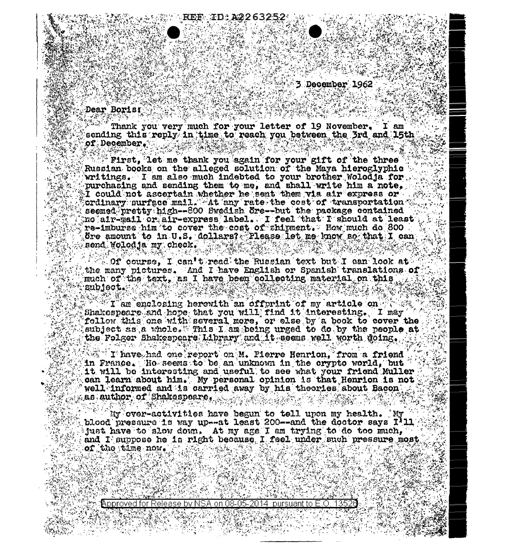$\sim$  3 December 1962

## Dear Boris

88 MAY

Thenk you very much for your letter of 19 November. I am which sending this reply in time to reach you between the 3rd and 15th of December. LASTAR TARA ER SANCTONIER PROTECTION  $\label{eq:3.1} \frac{1}{2} \int_{\mathbb{R}^3} \frac{1}{2} \int_{\mathbb{R}^3} \frac{1}{2} \, \mathrm{d} \mu \, \frac{1}{2} \int_{\mathbb{R}^3} \frac{1}{2} \, \mathrm{d} \mu \, \frac{1}{2} \int_{\mathbb{R}^3} \frac{1}{2} \, \mathrm{d} \mu \, \frac{1}{2} \, \mathrm{d} \mu \, \frac{1}{2} \, \mathrm{d} \mu \, \frac{1}{2} \, \mathrm{d} \mu \, \frac{1}{2} \, \mathrm{d} \mu \, \frac{1}{2} \,$ 

**REF ID:A226325** 

ွှေရေးပိန်း၏ရီ

First, let me thank you again for your gift of the three  $\tilde{ }$ Russian books on the alleged solution of the Maya hieroglyphic writings. I am also much indebted to your brother Wolodja for. purchasing and sending them to me, and shall write him a note. I could not ascertain whether he sent them via air express or ordinary surface mail. At any rate the cost of transportation  $\odot$ seemed pretty high--800 Swedish Sre--but the package contained no air-mail or air-express label. I feel that I should at least re-imburse him to cover the cost of shipment. How much do 800 . Sre amount to in U.S. dollars? Please let me know ao that I can send Wollodja my check, which we have a

 $\sim$  0f course, I can't read the Russian text but I can look at  $\sim$ the many pictures. And I have English or Spanish translations of much of the text, as I have been collecting material on this eubiect. W

 $\mathbb{R}^n$  . Than enclosing herewith an offprint of my article on  $\mathbb{C}^n$ Shakespeare snd hope that you will find it interesting. I may for follow this one with several more, or else by a book to cover the . deubject as a whole. This I am being urged to do by the people at  $\mathbb{R}$ the Folger Shakespears Library and it seems well worth doing.

I have had one report on M. Pierre Henrion, from a friend in France. Ho seems to be an unknown in the crypto world, but  $^{\circ}$ it will be interesting and useful to see what your friend Muller can learn about him. My personal opinion is that Henrion is not well informed and is carried away by his theories about Bacon  $\mathcal{L}$  is suthor of Shakespeare,  $\mathcal{L}(\mathcal{L}(\mathcal{L}))$  is the substitution

My over-activities have begun to tell upon my health. My blood pressure is way up--at least 200--and the doctor says I'll Must have to slow down. At my age I am trying to do too much, and I suppose he is right because I feel under such pressure most of the time now  $\mathbb{R}^n$  ,  $\mathbb{R}^n$  ,  $\mathbb{R}^n$  ,  $\mathbb{R}^n$ 

. 수주 선택(조도 노출한 조선 조선 동지) - '종주소 그는 조선 도 2절 신 동지<br>2초 <mark>Approved for Release by NSA on 08-05-2014</mark> "pursuant to E.O